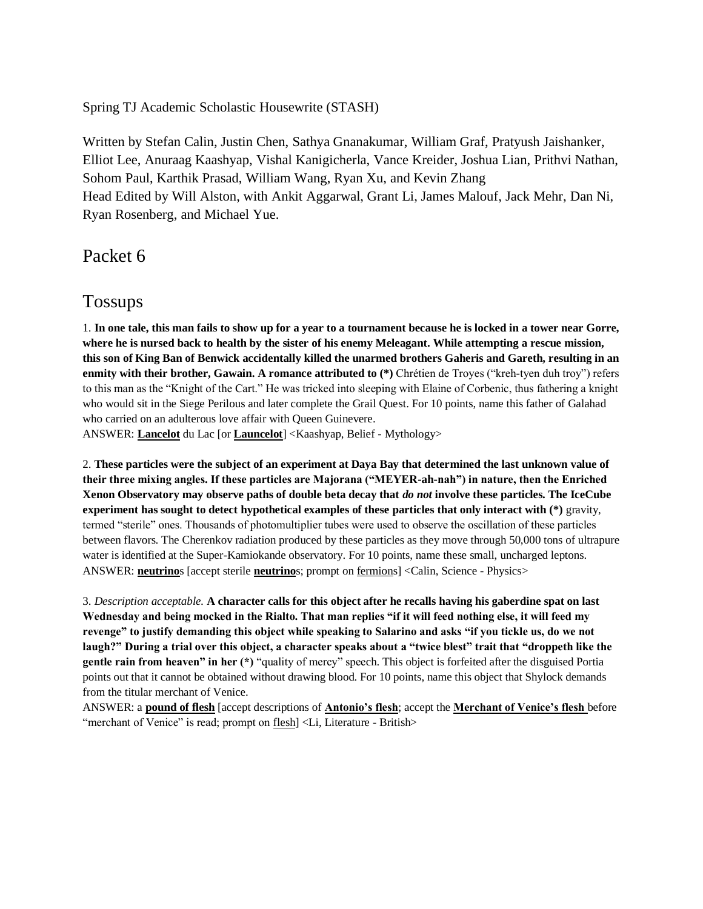Spring TJ Academic Scholastic Housewrite (STASH)

Written by Stefan Calin, Justin Chen, Sathya Gnanakumar, William Graf, Pratyush Jaishanker, Elliot Lee, Anuraag Kaashyap, Vishal Kanigicherla, Vance Kreider, Joshua Lian, Prithvi Nathan, Sohom Paul, Karthik Prasad, William Wang, Ryan Xu, and Kevin Zhang Head Edited by Will Alston, with Ankit Aggarwal, Grant Li, James Malouf, Jack Mehr, Dan Ni, Ryan Rosenberg, and Michael Yue.

Packet 6

# Tossups

1. **In one tale, this man fails to show up for a year to a tournament because he is locked in a tower near Gorre, where he is nursed back to health by the sister of his enemy Meleagant. While attempting a rescue mission, this son of King Ban of Benwick accidentally killed the unarmed brothers Gaheris and Gareth, resulting in an enmity with their brother, Gawain. A romance attributed to (\*)** Chrétien de Troyes ("kreh-tyen duh troy") refers to this man as the "Knight of the Cart." He was tricked into sleeping with Elaine of Corbenic, thus fathering a knight who would sit in the Siege Perilous and later complete the Grail Quest. For 10 points, name this father of Galahad who carried on an adulterous love affair with Queen Guinevere.

ANSWER: **Lancelot** du Lac [or **Launcelot**] <Kaashyap, Belief - Mythology>

2. **These particles were the subject of an experiment at Daya Bay that determined the last unknown value of their three mixing angles. If these particles are Majorana ("MEYER-ah-nah") in nature, then the Enriched Xenon Observatory may observe paths of double beta decay that** *do not* **involve these particles. The IceCube experiment has sought to detect hypothetical examples of these particles that only interact with (\*)** gravity, termed "sterile" ones. Thousands of photomultiplier tubes were used to observe the oscillation of these particles between flavors. The Cherenkov radiation produced by these particles as they move through 50,000 tons of ultrapure water is identified at the Super-Kamiokande observatory. For 10 points, name these small, uncharged leptons. ANSWER: **neutrino**s [accept sterile **neutrino**s; prompt on fermions] <Calin, Science - Physics>

3. *Description acceptable.* **A character calls for this object after he recalls having his gaberdine spat on last Wednesday and being mocked in the Rialto. That man replies "if it will feed nothing else, it will feed my revenge" to justify demanding this object while speaking to Salarino and asks "if you tickle us, do we not laugh?" During a trial over this object, a character speaks about a "twice blest" trait that "droppeth like the gentle rain from heaven" in her (\*)** "quality of mercy" speech. This object is forfeited after the disguised Portia points out that it cannot be obtained without drawing blood. For 10 points, name this object that Shylock demands from the titular merchant of Venice.

ANSWER: a **pound of flesh** [accept descriptions of **Antonio's flesh**; accept the **Merchant of Venice's flesh** before "merchant of Venice" is read; prompt on flesh] <Li, Literature - British>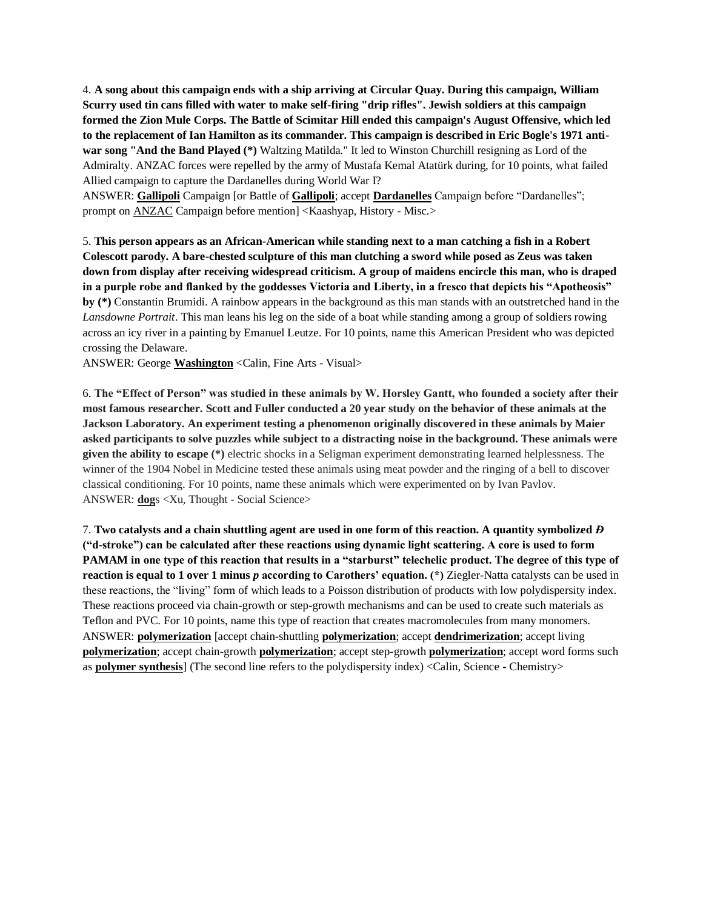4. **A song about this campaign ends with a ship arriving at Circular Quay. During this campaign, William Scurry used tin cans filled with water to make self-firing "drip rifles". Jewish soldiers at this campaign formed the Zion Mule Corps. The Battle of Scimitar Hill ended this campaign's August Offensive, which led to the replacement of Ian Hamilton as its commander. This campaign is described in Eric Bogle's 1971 antiwar song "And the Band Played (\*)** Waltzing Matilda." It led to Winston Churchill resigning as Lord of the Admiralty. ANZAC forces were repelled by the army of Mustafa Kemal Atatürk during, for 10 points, what failed Allied campaign to capture the Dardanelles during World War I?

ANSWER: **Gallipoli** Campaign [or Battle of **Gallipoli**; accept **Dardanelles** Campaign before "Dardanelles"; prompt on ANZAC Campaign before mention] <Kaashyap, History - Misc.>

5. **This person appears as an African-American while standing next to a man catching a fish in a Robert Colescott parody. A bare-chested sculpture of this man clutching a sword while posed as Zeus was taken down from display after receiving widespread criticism. A group of maidens encircle this man, who is draped in a purple robe and flanked by the goddesses Victoria and Liberty, in a fresco that depicts his "Apotheosis" by (\*)** Constantin Brumidi. A rainbow appears in the background as this man stands with an outstretched hand in the *Lansdowne Portrait*. This man leans his leg on the side of a boat while standing among a group of soldiers rowing across an icy river in a painting by Emanuel Leutze. For 10 points, name this American President who was depicted crossing the Delaware.

ANSWER: George **Washington** <Calin, Fine Arts - Visual>

6. **The "Effect of Person" was studied in these animals by W. Horsley Gantt, who founded a society after their most famous researcher. Scott and Fuller conducted a 20 year study on the behavior of these animals at the Jackson Laboratory. An experiment testing a phenomenon originally discovered in these animals by Maier asked participants to solve puzzles while subject to a distracting noise in the background. These animals were given the ability to escape (\*)** electric shocks in a Seligman experiment demonstrating learned helplessness. The winner of the 1904 Nobel in Medicine tested these animals using meat powder and the ringing of a bell to discover classical conditioning. For 10 points, name these animals which were experimented on by Ivan Pavlov. ANSWER: **dog**s <Xu, Thought - Social Science>

7. **Two catalysts and a chain shuttling agent are used in one form of this reaction. A quantity symbolized** *Đ* **("d-stroke") can be calculated after these reactions using dynamic light scattering. A core is used to form PAMAM in one type of this reaction that results in a "starburst" telechelic product. The degree of this type of reaction is equal to 1 over 1 minus** *p* **according to Carothers' equation. (\*)** Ziegler-Natta catalysts can be used in these reactions, the "living" form of which leads to a Poisson distribution of products with low polydispersity index. These reactions proceed via chain-growth or step-growth mechanisms and can be used to create such materials as Teflon and PVC. For 10 points, name this type of reaction that creates macromolecules from many monomers. ANSWER: **polymerization** [accept chain-shuttling **polymerization**; accept **dendrimerization**; accept living **polymerization**; accept chain-growth **polymerization**; accept step-growth **polymerization**; accept word forms such as **polymer synthesis**] (The second line refers to the polydispersity index) <Calin, Science - Chemistry>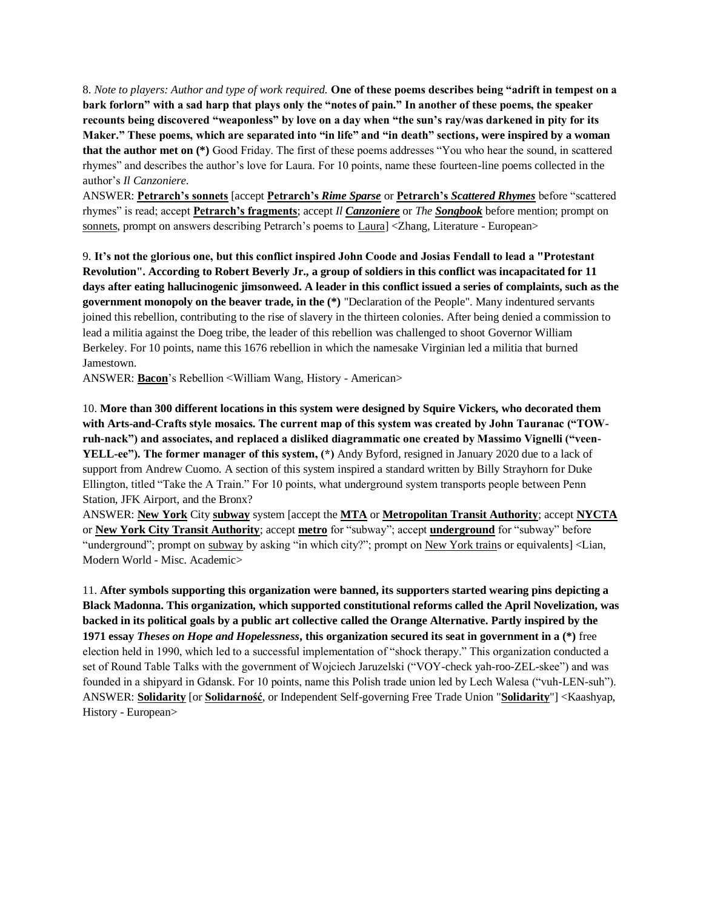8. *Note to players: Author and type of work required.* **One of these poems describes being "adrift in tempest on a bark forlorn" with a sad harp that plays only the "notes of pain." In another of these poems, the speaker recounts being discovered "weaponless" by love on a day when "the sun's ray/was darkened in pity for its Maker." These poems, which are separated into "in life" and "in death" sections, were inspired by a woman that the author met on (\*)** Good Friday. The first of these poems addresses "You who hear the sound, in scattered rhymes" and describes the author's love for Laura. For 10 points, name these fourteen-line poems collected in the author's *Il Canzoniere*.

ANSWER: **Petrarch's sonnets** [accept **Petrarch's** *Rime Sparse* or **Petrarch's** *Scattered Rhymes* before "scattered rhymes" is read; accept **Petrarch's fragments**; accept *Il Canzoniere* or *The Songbook* before mention; prompt on sonnets, prompt on answers describing Petrarch's poems to Laura] <Zhang, Literature - European>

9. **It's not the glorious one, but this conflict inspired John Coode and Josias Fendall to lead a "Protestant Revolution". According to Robert Beverly Jr., a group of soldiers in this conflict was incapacitated for 11 days after eating hallucinogenic jimsonweed. A leader in this conflict issued a series of complaints, such as the government monopoly on the beaver trade, in the (\*)** "Declaration of the People". Many indentured servants joined this rebellion, contributing to the rise of slavery in the thirteen colonies. After being denied a commission to lead a militia against the Doeg tribe, the leader of this rebellion was challenged to shoot Governor William Berkeley. For 10 points, name this 1676 rebellion in which the namesake Virginian led a militia that burned Jamestown.

ANSWER: **Bacon**'s Rebellion <William Wang, History - American>

10. **More than 300 different locations in this system were designed by Squire Vickers, who decorated them with Arts-and-Crafts style mosaics. The current map of this system was created by John Tauranac ("TOWruh-nack") and associates, and replaced a disliked diagrammatic one created by Massimo Vignelli ("veen-YELL-ee"). The former manager of this system, (\*)** Andy Byford, resigned in January 2020 due to a lack of support from Andrew Cuomo. A section of this system inspired a standard written by Billy Strayhorn for Duke Ellington, titled "Take the A Train." For 10 points, what underground system transports people between Penn Station, JFK Airport, and the Bronx?

ANSWER: **New York** City **subway** system [accept the **MTA** or **Metropolitan Transit Authority**; accept **NYCTA** or **New York City Transit Authority**; accept **metro** for "subway"; accept **underground** for "subway" before "underground"; prompt on subway by asking "in which city?"; prompt on New York trains or equivalents] <Lian, Modern World - Misc. Academic>

11. **After symbols supporting this organization were banned, its supporters started wearing pins depicting a Black Madonna. This organization, which supported constitutional reforms called the April Novelization, was backed in its political goals by a public art collective called the Orange Alternative. Partly inspired by the 1971 essay** *Theses on Hope and Hopelessness***, this organization secured its seat in government in a (\*)** free election held in 1990, which led to a successful implementation of "shock therapy." This organization conducted a set of Round Table Talks with the government of Wojciech Jaruzelski ("VOY-check yah-roo-ZEL-skee") and was founded in a shipyard in Gdansk. For 10 points, name this Polish trade union led by Lech Walesa ("vuh-LEN-suh"). ANSWER: **Solidarity** [or **Solidarność**, or Independent Self-governing Free Trade Union "**Solidarity**"] <Kaashyap, History - European>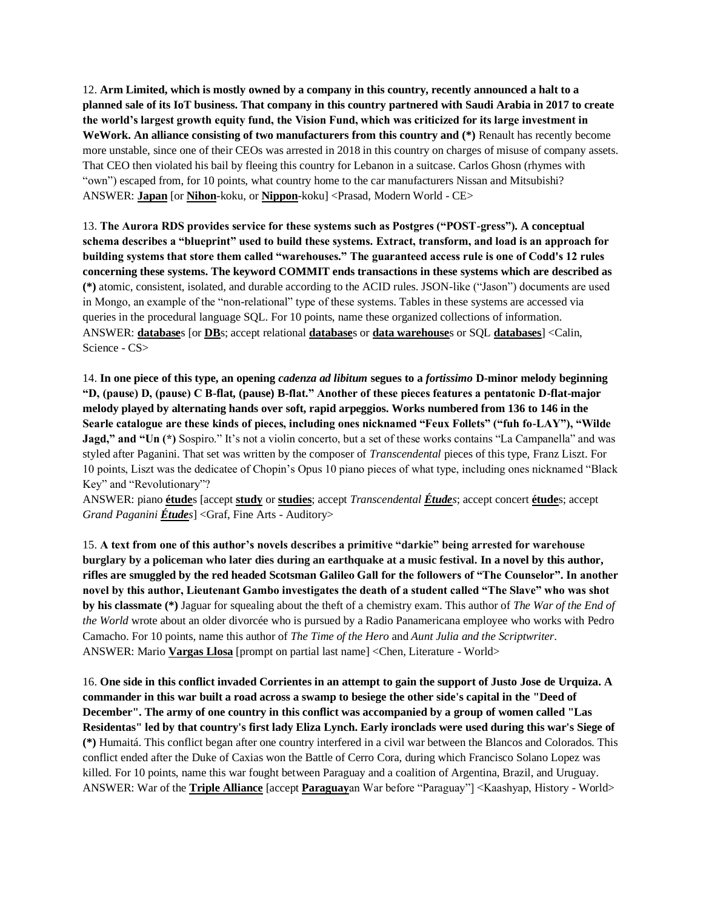12. **Arm Limited, which is mostly owned by a company in this country, recently announced a halt to a planned sale of its IoT business. That company in this country partnered with Saudi Arabia in 2017 to create the world's largest growth equity fund, the Vision Fund, which was criticized for its large investment in WeWork. An alliance consisting of two manufacturers from this country and (\*)** Renault has recently become more unstable, since one of their CEOs was arrested in 2018 in this country on charges of misuse of company assets. That CEO then violated his bail by fleeing this country for Lebanon in a suitcase. Carlos Ghosn (rhymes with "own") escaped from, for 10 points, what country home to the car manufacturers Nissan and Mitsubishi? ANSWER: **Japan** [or **Nihon**-koku, or **Nippon**-koku] <Prasad, Modern World - CE>

13. **The Aurora RDS provides service for these systems such as Postgres ("POST-gress"). A conceptual schema describes a "blueprint" used to build these systems. Extract, transform, and load is an approach for building systems that store them called "warehouses." The guaranteed access rule is one of Codd's 12 rules concerning these systems. The keyword COMMIT ends transactions in these systems which are described as (\*)** atomic, consistent, isolated, and durable according to the ACID rules. JSON-like ("Jason") documents are used in Mongo, an example of the "non-relational" type of these systems. Tables in these systems are accessed via queries in the procedural language SQL. For 10 points, name these organized collections of information. ANSWER: **database**s [or **DB**s; accept relational **database**s or **data warehouse**s or SQL **databases**] <Calin, Science - CS>

14. **In one piece of this type, an opening** *cadenza ad libitum* **segues to a** *fortissimo* **D-minor melody beginning "D, (pause) D, (pause) C B-flat, (pause) B-flat." Another of these pieces features a pentatonic D-flat-major melody played by alternating hands over soft, rapid arpeggios. Works numbered from 136 to 146 in the Searle catalogue are these kinds of pieces, including ones nicknamed "Feux Follets" ("fuh fo-LAY"), "Wilde Jagd," and "Un (\*)** Sospiro." It's not a violin concerto, but a set of these works contains "La Campanella" and was styled after Paganini. That set was written by the composer of *Transcendental* pieces of this type, Franz Liszt. For 10 points, Liszt was the dedicatee of Chopin's Opus 10 piano pieces of what type, including ones nicknamed "Black Key" and "Revolutionary"?

ANSWER: piano **étude**s [accept **study** or **studies**; accept *Transcendental Études*; accept concert **étude**s; accept *Grand Paganini Études*] <Graf, Fine Arts - Auditory>

15. **A text from one of this author's novels describes a primitive "darkie" being arrested for warehouse burglary by a policeman who later dies during an earthquake at a music festival. In a novel by this author, rifles are smuggled by the red headed Scotsman Galileo Gall for the followers of "The Counselor". In another novel by this author, Lieutenant Gambo investigates the death of a student called "The Slave" who was shot by his classmate (\*)** Jaguar for squealing about the theft of a chemistry exam. This author of *The War of the End of the World* wrote about an older divorcée who is pursued by a Radio Panamericana employee who works with Pedro Camacho. For 10 points, name this author of *The Time of the Hero* and *Aunt Julia and the Scriptwriter*. ANSWER: Mario **Vargas Llosa** [prompt on partial last name] <Chen, Literature - World>

16. **One side in this conflict invaded Corrientes in an attempt to gain the support of Justo Jose de Urquiza. A commander in this war built a road across a swamp to besiege the other side's capital in the "Deed of December". The army of one country in this conflict was accompanied by a group of women called "Las Residentas" led by that country's first lady Eliza Lynch. Early ironclads were used during this war's Siege of (\*)** Humaitá. This conflict began after one country interfered in a civil war between the Blancos and Colorados. This conflict ended after the Duke of Caxias won the Battle of Cerro Cora, during which Francisco Solano Lopez was killed. For 10 points, name this war fought between Paraguay and a coalition of Argentina, Brazil, and Uruguay. ANSWER: War of the **Triple Alliance** [accept **Paraguay**an War before "Paraguay"] <Kaashyap, History - World>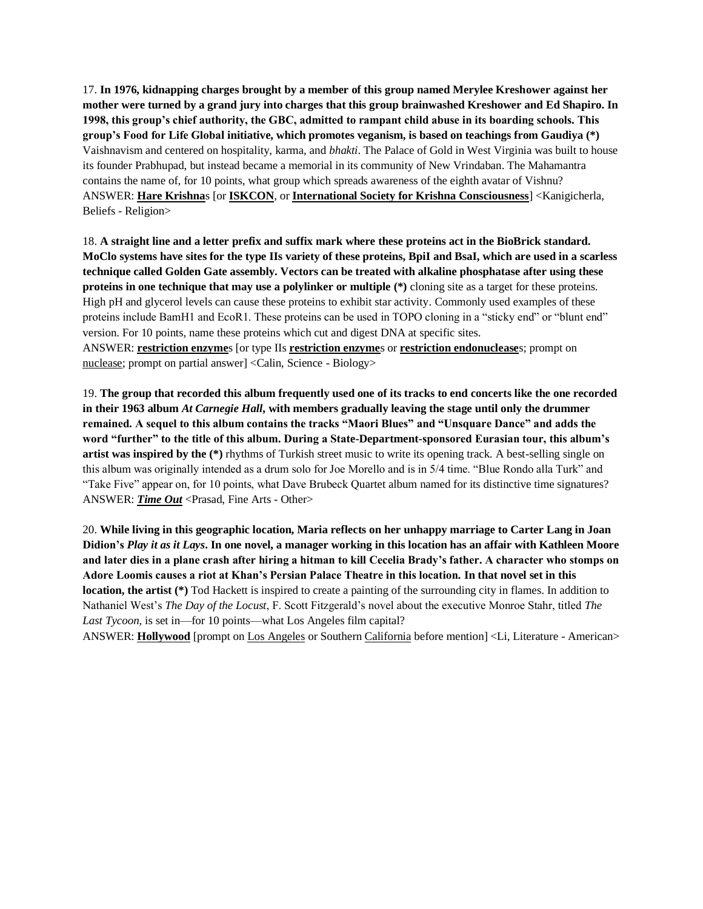17. **In 1976, kidnapping charges brought by a member of this group named Merylee Kreshower against her mother were turned by a grand jury into charges that this group brainwashed Kreshower and Ed Shapiro. In 1998, this group's chief authority, the GBC, admitted to rampant child abuse in its boarding schools. This group's Food for Life Global initiative, which promotes veganism, is based on teachings from Gaudiya (\*)**  Vaishnavism and centered on hospitality, karma, and *bhakti*. The Palace of Gold in West Virginia was built to house its founder Prabhupad, but instead became a memorial in its community of New Vrindaban. The Mahamantra contains the name of, for 10 points, what group which spreads awareness of the eighth avatar of Vishnu? ANSWER: **Hare Krishna**s [or **ISKCON**, or **International Society for Krishna Consciousness**] <Kanigicherla, Beliefs - Religion>

18. **A straight line and a letter prefix and suffix mark where these proteins act in the BioBrick standard. MoClo systems have sites for the type IIs variety of these proteins, BpiI and BsaI, which are used in a scarless technique called Golden Gate assembly. Vectors can be treated with alkaline phosphatase after using these proteins in one technique that may use a polylinker or multiple (\*)** cloning site as a target for these proteins. High pH and glycerol levels can cause these proteins to exhibit star activity. Commonly used examples of these proteins include BamH1 and EcoR1. These proteins can be used in TOPO cloning in a "sticky end" or "blunt end" version. For 10 points, name these proteins which cut and digest DNA at specific sites. ANSWER: **restriction enzyme**s [or type IIs **restriction enzyme**s or **restriction endonuclease**s; prompt on nuclease; prompt on partial answer] <Calin, Science - Biology>

19. **The group that recorded this album frequently used one of its tracks to end concerts like the one recorded in their 1963 album** *At Carnegie Hall***, with members gradually leaving the stage until only the drummer remained. A sequel to this album contains the tracks "Maori Blues" and "Unsquare Dance" and adds the word "further" to the title of this album. During a State-Department-sponsored Eurasian tour, this album's artist was inspired by the (\*)** rhythms of Turkish street music to write its opening track. A best-selling single on this album was originally intended as a drum solo for Joe Morello and is in 5/4 time. "Blue Rondo alla Turk" and "Take Five" appear on, for 10 points, what Dave Brubeck Quartet album named for its distinctive time signatures? ANSWER: *Time Out* <Prasad, Fine Arts - Other>

20. **While living in this geographic location, Maria reflects on her unhappy marriage to Carter Lang in Joan Didion's** *Play it as it Lays***. In one novel, a manager working in this location has an affair with Kathleen Moore and later dies in a plane crash after hiring a hitman to kill Cecelia Brady's father. A character who stomps on Adore Loomis causes a riot at Khan's Persian Palace Theatre in this location. In that novel set in this location, the artist (\*)** Tod Hackett is inspired to create a painting of the surrounding city in flames. In addition to Nathaniel West's *The Day of the Locust*, F. Scott Fitzgerald's novel about the executive Monroe Stahr, titled *The Last Tycoon,* is set in—for 10 points—what Los Angeles film capital?

ANSWER: **Hollywood** [prompt on Los Angeles or Southern California before mention] <Li, Literature - American>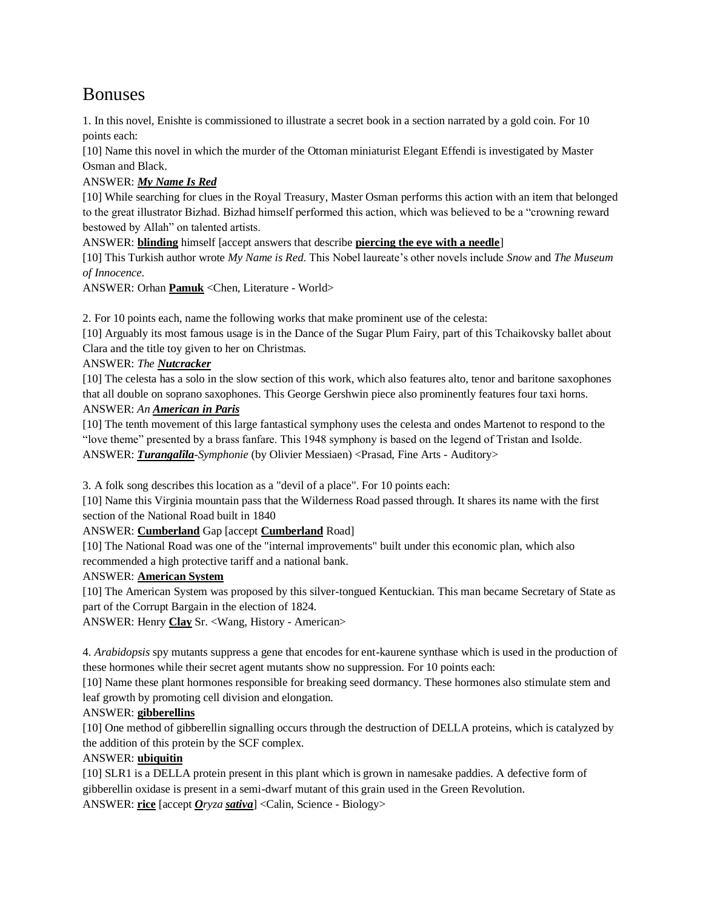# Bonuses

1. In this novel, Enishte is commissioned to illustrate a secret book in a section narrated by a gold coin. For 10 points each:

[10] Name this novel in which the murder of the Ottoman miniaturist Elegant Effendi is investigated by Master Osman and Black.

# ANSWER: *My Name Is Red*

[10] While searching for clues in the Royal Treasury, Master Osman performs this action with an item that belonged to the great illustrator Bizhad. Bizhad himself performed this action, which was believed to be a "crowning reward bestowed by Allah" on talented artists.

ANSWER: **blinding** himself [accept answers that describe **piercing the eye with a needle**]

[10] This Turkish author wrote *My Name is Red*. This Nobel laureate's other novels include *Snow* and *The Museum of Innocence*.

ANSWER: Orhan **Pamuk** <Chen, Literature - World>

2. For 10 points each, name the following works that make prominent use of the celesta:

[10] Arguably its most famous usage is in the Dance of the Sugar Plum Fairy, part of this Tchaikovsky ballet about Clara and the title toy given to her on Christmas.

## ANSWER: *The Nutcracker*

[10] The celesta has a solo in the slow section of this work, which also features alto, tenor and baritone saxophones that all double on soprano saxophones. This George Gershwin piece also prominently features four taxi horns. ANSWER: *An American in Paris*

[10] The tenth movement of this large fantastical symphony uses the celesta and ondes Martenot to respond to the "love theme" presented by a brass fanfare. This 1948 symphony is based on the legend of Tristan and Isolde. ANSWER: *Turangalîla-Symphonie* (by Olivier Messiaen) <Prasad, Fine Arts - Auditory>

3. A folk song describes this location as a "devil of a place". For 10 points each:

[10] Name this Virginia mountain pass that the Wilderness Road passed through. It shares its name with the first section of the National Road built in 1840

### ANSWER: **Cumberland** Gap [accept **Cumberland** Road]

[10] The National Road was one of the "internal improvements" built under this economic plan, which also recommended a high protective tariff and a national bank.

### ANSWER: **American System**

[10] The American System was proposed by this silver-tongued Kentuckian. This man became Secretary of State as part of the Corrupt Bargain in the election of 1824.

ANSWER: Henry **Clay** Sr. <Wang, History - American>

4. *Arabidopsis* spy mutants suppress a gene that encodes for ent-kaurene synthase which is used in the production of these hormones while their secret agent mutants show no suppression. For 10 points each:

[10] Name these plant hormones responsible for breaking seed dormancy. These hormones also stimulate stem and leaf growth by promoting cell division and elongation.

### ANSWER: **gibberellins**

[10] One method of gibberellin signalling occurs through the destruction of DELLA proteins, which is catalyzed by the addition of this protein by the SCF complex.

### ANSWER: **ubiquitin**

[10] SLR1 is a DELLA protein present in this plant which is grown in namesake paddies. A defective form of gibberellin oxidase is present in a semi-dwarf mutant of this grain used in the Green Revolution. ANSWER: **rice** [accept *Oryza sativa*] <Calin, Science - Biology>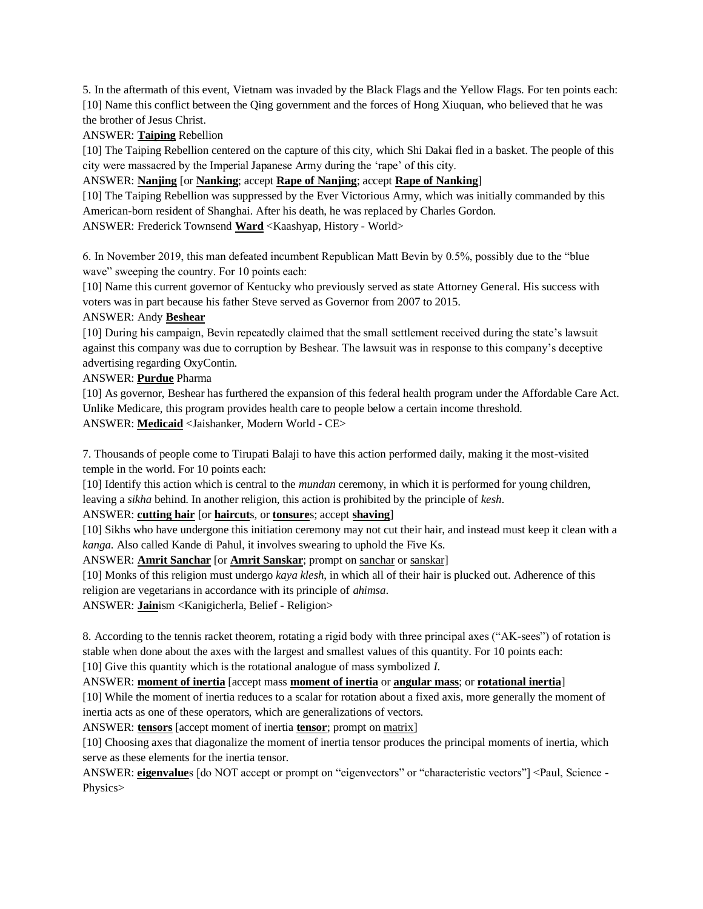5. In the aftermath of this event, Vietnam was invaded by the Black Flags and the Yellow Flags. For ten points each: [10] Name this conflict between the Qing government and the forces of Hong Xiuquan, who believed that he was the brother of Jesus Christ.

ANSWER: **Taiping** Rebellion

[10] The Taiping Rebellion centered on the capture of this city, which Shi Dakai fled in a basket. The people of this city were massacred by the Imperial Japanese Army during the 'rape' of this city.

ANSWER: **Nanjing** [or **Nanking**; accept **Rape of Nanjing**; accept **Rape of Nanking**]

[10] The Taiping Rebellion was suppressed by the Ever Victorious Army, which was initially commanded by this American-born resident of Shanghai. After his death, he was replaced by Charles Gordon.

ANSWER: Frederick Townsend **Ward** <Kaashyap, History - World>

6. In November 2019, this man defeated incumbent Republican Matt Bevin by 0.5%, possibly due to the "blue wave" sweeping the country. For 10 points each:

[10] Name this current governor of Kentucky who previously served as state Attorney General. His success with voters was in part because his father Steve served as Governor from 2007 to 2015.

### ANSWER: Andy **Beshear**

[10] During his campaign, Bevin repeatedly claimed that the small settlement received during the state's lawsuit against this company was due to corruption by Beshear. The lawsuit was in response to this company's deceptive advertising regarding OxyContin.

### ANSWER: **Purdue** Pharma

[10] As governor, Beshear has furthered the expansion of this federal health program under the Affordable Care Act. Unlike Medicare, this program provides health care to people below a certain income threshold. ANSWER: **Medicaid** <Jaishanker, Modern World - CE>

7. Thousands of people come to Tirupati Balaji to have this action performed daily, making it the most-visited temple in the world. For 10 points each:

[10] Identify this action which is central to the *mundan* ceremony, in which it is performed for young children, leaving a *sikha* behind. In another religion, this action is prohibited by the principle of *kesh*.

ANSWER: **cutting hair** [or **haircut**s, or **tonsure**s; accept **shaving**]

[10] Sikhs who have undergone this initiation ceremony may not cut their hair, and instead must keep it clean with a *kanga*. Also called Kande di Pahul, it involves swearing to uphold the Five Ks.

ANSWER: **Amrit Sanchar** [or **Amrit Sanskar**; prompt on sanchar or sanskar]

[10] Monks of this religion must undergo *kaya klesh*, in which all of their hair is plucked out. Adherence of this religion are vegetarians in accordance with its principle of *ahimsa*.

ANSWER: **Jain**ism <Kanigicherla, Belief - Religion>

8. According to the tennis racket theorem, rotating a rigid body with three principal axes ("AK-sees") of rotation is stable when done about the axes with the largest and smallest values of this quantity. For 10 points each:

[10] Give this quantity which is the rotational analogue of mass symbolized *I*.

ANSWER: **moment of inertia** [accept mass **moment of inertia** or **angular mass**; or **rotational inertia**]

[10] While the moment of inertia reduces to a scalar for rotation about a fixed axis, more generally the moment of inertia acts as one of these operators, which are generalizations of vectors.

ANSWER: **tensors** [accept moment of inertia **tensor**; prompt on matrix]

[10] Choosing axes that diagonalize the moment of inertia tensor produces the principal moments of inertia, which serve as these elements for the inertia tensor.

ANSWER: **eigenvalue**s [do NOT accept or prompt on "eigenvectors" or "characteristic vectors"] <Paul, Science -Physics>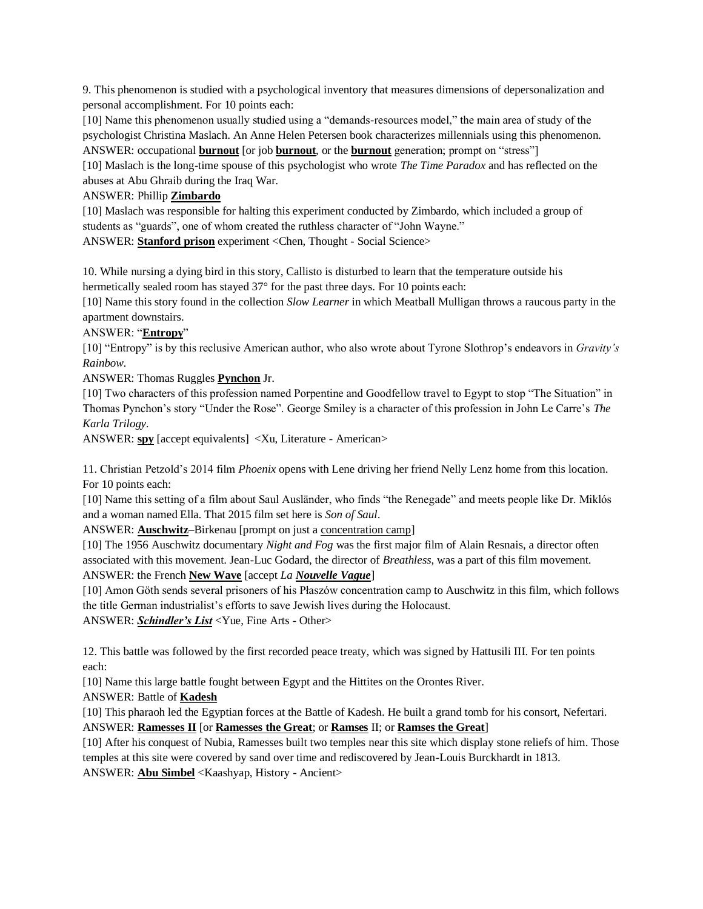9. This phenomenon is studied with a psychological inventory that measures dimensions of depersonalization and personal accomplishment. For 10 points each:

[10] Name this phenomenon usually studied using a "demands-resources model," the main area of study of the psychologist Christina Maslach. An Anne Helen Petersen book characterizes millennials using this phenomenon. ANSWER: occupational **burnout** [or job **burnout**, or the **burnout** generation; prompt on "stress"]

[10] Maslach is the long-time spouse of this psychologist who wrote *The Time Paradox* and has reflected on the abuses at Abu Ghraib during the Iraq War.

### ANSWER: Phillip **Zimbardo**

[10] Maslach was responsible for halting this experiment conducted by Zimbardo, which included a group of students as "guards", one of whom created the ruthless character of "John Wayne."

ANSWER: **Stanford prison** experiment <Chen, Thought - Social Science>

10. While nursing a dying bird in this story, Callisto is disturbed to learn that the temperature outside his hermetically sealed room has stayed 37° for the past three days. For 10 points each:

[10] Name this story found in the collection *Slow Learner* in which Meatball Mulligan throws a raucous party in the apartment downstairs.

### ANSWER: "**Entropy**"

[10] "Entropy" is by this reclusive American author, who also wrote about Tyrone Slothrop's endeavors in *Gravity's Rainbow.* 

ANSWER: Thomas Ruggles **Pynchon** Jr.

[10] Two characters of this profession named Porpentine and Goodfellow travel to Egypt to stop "The Situation" in Thomas Pynchon's story "Under the Rose". George Smiley is a character of this profession in John Le Carre's *The Karla Trilogy.*

ANSWER: **spy** [accept equivalents] <Xu, Literature - American>

11. Christian Petzold's 2014 film *Phoenix* opens with Lene driving her friend Nelly Lenz home from this location. For 10 points each:

[10] Name this setting of a film about Saul Ausländer, who finds "the Renegade" and meets people like Dr. Miklós and a woman named Ella. That 2015 film set here is *Son of Saul*.

ANSWER: **Auschwitz**–Birkenau [prompt on just a concentration camp]

[10] The 1956 Auschwitz documentary *Night and Fog* was the first major film of Alain Resnais, a director often associated with this movement. Jean-Luc Godard, the director of *Breathless*, was a part of this film movement. ANSWER: the French **New Wave** [accept *La Nouvelle Vague*]

[10] Amon Göth sends several prisoners of his Płaszów concentration camp to Auschwitz in this film, which follows the title German industrialist's efforts to save Jewish lives during the Holocaust.

ANSWER: *Schindler's List* <Yue, Fine Arts - Other>

12. This battle was followed by the first recorded peace treaty, which was signed by Hattusili III. For ten points each:

[10] Name this large battle fought between Egypt and the Hittites on the Orontes River.

ANSWER: Battle of **Kadesh**

[10] This pharaoh led the Egyptian forces at the Battle of Kadesh. He built a grand tomb for his consort, Nefertari. ANSWER: **Ramesses II** [or **Ramesses the Great**; or **Ramses** II; or **Ramses the Great**]

[10] After his conquest of Nubia, Ramesses built two temples near this site which display stone reliefs of him. Those temples at this site were covered by sand over time and rediscovered by Jean-Louis Burckhardt in 1813. ANSWER: **Abu Simbel** <Kaashyap, History - Ancient>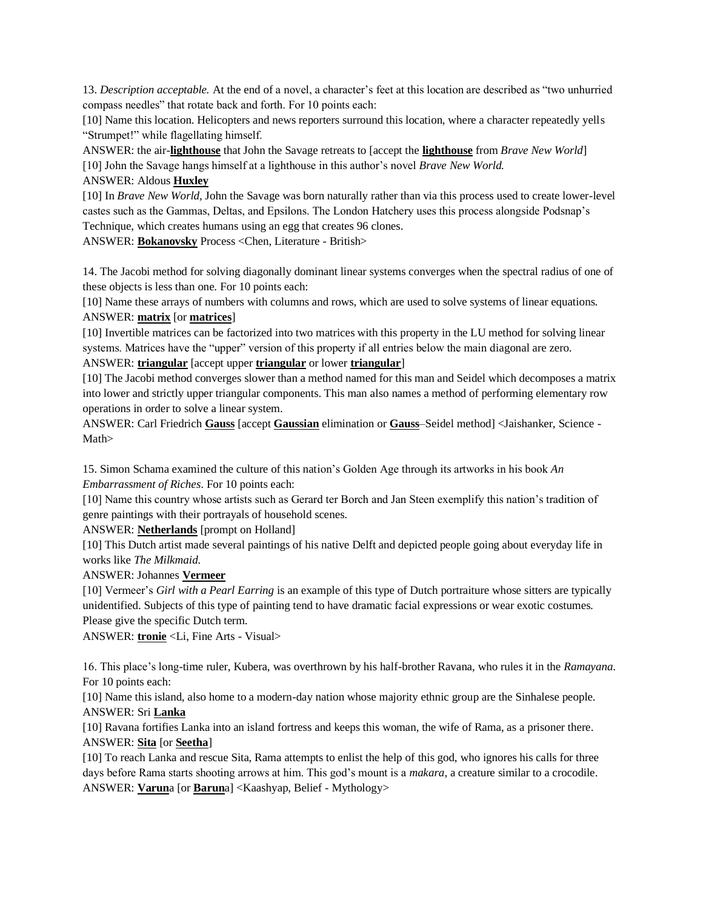13. *Description acceptable.* At the end of a novel, a character's feet at this location are described as "two unhurried compass needles" that rotate back and forth. For 10 points each:

[10] Name this location. Helicopters and news reporters surround this location, where a character repeatedly yells "Strumpet!" while flagellating himself.

ANSWER: the air-**lighthouse** that John the Savage retreats to [accept the **lighthouse** from *Brave New World*] [10] John the Savage hangs himself at a lighthouse in this author's novel *Brave New World.*

#### ANSWER: Aldous **Huxley**

[10] In *Brave New World,* John the Savage was born naturally rather than via this process used to create lower-level castes such as the Gammas, Deltas, and Epsilons. The London Hatchery uses this process alongside Podsnap's Technique, which creates humans using an egg that creates 96 clones.

ANSWER: **Bokanovsky** Process <Chen, Literature - British>

14. The Jacobi method for solving diagonally dominant linear systems converges when the spectral radius of one of these objects is less than one. For 10 points each:

[10] Name these arrays of numbers with columns and rows, which are used to solve systems of linear equations. ANSWER: **matrix** [or **matrices**]

[10] Invertible matrices can be factorized into two matrices with this property in the LU method for solving linear systems. Matrices have the "upper" version of this property if all entries below the main diagonal are zero. ANSWER: **triangular** [accept upper **triangular** or lower **triangular**]

[10] The Jacobi method converges slower than a method named for this man and Seidel which decomposes a matrix into lower and strictly upper triangular components. This man also names a method of performing elementary row operations in order to solve a linear system.

ANSWER: Carl Friedrich **Gauss** [accept **Gaussian** elimination or **Gauss**–Seidel method] <Jaishanker, Science - Math>

15. Simon Schama examined the culture of this nation's Golden Age through its artworks in his book *An Embarrassment of Riches*. For 10 points each:

[10] Name this country whose artists such as Gerard ter Borch and Jan Steen exemplify this nation's tradition of genre paintings with their portrayals of household scenes.

ANSWER: **Netherlands** [prompt on Holland]

[10] This Dutch artist made several paintings of his native Delft and depicted people going about everyday life in works like *The Milkmaid*.

#### ANSWER: Johannes **Vermeer**

[10] Vermeer's *Girl with a Pearl Earring* is an example of this type of Dutch portraiture whose sitters are typically unidentified. Subjects of this type of painting tend to have dramatic facial expressions or wear exotic costumes. Please give the specific Dutch term.

ANSWER: **tronie** <Li, Fine Arts - Visual>

16. This place's long-time ruler, Kubera, was overthrown by his half-brother Ravana, who rules it in the *Ramayana*. For 10 points each:

[10] Name this island, also home to a modern-day nation whose majority ethnic group are the Sinhalese people. ANSWER: Sri **Lanka**

[10] Ravana fortifies Lanka into an island fortress and keeps this woman, the wife of Rama, as a prisoner there. ANSWER: **Sita** [or **Seetha**]

[10] To reach Lanka and rescue Sita, Rama attempts to enlist the help of this god, who ignores his calls for three days before Rama starts shooting arrows at him. This god's mount is a *makara*, a creature similar to a crocodile. ANSWER: **Varun**a [or **Barun**a] <Kaashyap, Belief - Mythology>